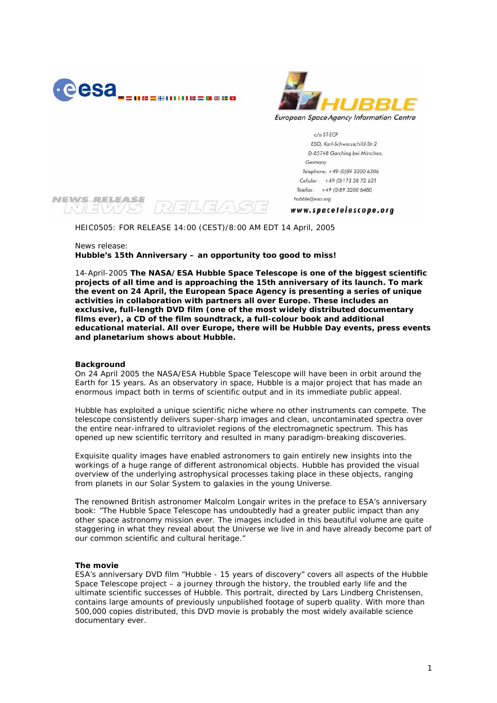



c/o ST-ECF ESO, Karl-Schwarzschild-Str.2 D-85748 Garching bei München, Germany Telephone: +49 (0)89 3200 6306 Cellular: +49 (0)173 38 72 621 Telefax: +49 (0)89 3200 6480 hubble@eso.org

#### **NEWS RELEASE**  $RZ/LZ/4S/5$  $V_A V/S5$

www.spacetelescope.org

HEIC0505: FOR RELEASE 14:00 (CEST)/8:00 AM EDT 14 April, 2005

News release:

**Hubble's 15th Anniversary – an opportunity too good to miss!** 

14-April-2005 **The NASA/ESA Hubble Space Telescope is one of the biggest scientific projects of all time and is approaching the 15th anniversary of its launch. To mark the event on 24 April, the European Space Agency is presenting a series of unique activities in collaboration with partners all over Europe. These includes an exclusive, full-length DVD film (one of the most widely distributed documentary films ever), a CD of the film soundtrack, a full-colour book and additional educational material. All over Europe, there will be Hubble Day events, press events and planetarium shows about Hubble.**

# **Background**

On 24 April 2005 the NASA/ESA Hubble Space Telescope will have been in orbit around the Earth for 15 years. As an observatory in space, Hubble is a major project that has made an enormous impact both in terms of scientific output and in its immediate public appeal.

Hubble has exploited a unique scientific niche where no other instruments can compete. The telescope consistently delivers super-sharp images and clean, uncontaminated spectra over the entire near-infrared to ultraviolet regions of the electromagnetic spectrum. This has opened up new scientific territory and resulted in many paradigm-breaking discoveries.

Exquisite quality images have enabled astronomers to gain entirely new insights into the workings of a huge range of different astronomical objects. Hubble has provided the visual overview of the underlying astrophysical processes taking place in these objects, ranging from planets in our Solar System to galaxies in the young Universe.

The renowned British astronomer Malcolm Longair writes in the preface to ESA's anniversary book: "The Hubble Space Telescope has undoubtedly had a greater public impact than any other space astronomy mission ever. The images included in this beautiful volume are quite staggering in what they reveal about the Universe we live in and have already become part of our common scientific and cultural heritage."

# **The movie**

ESA's anniversary DVD film "Hubble - 15 years of discovery" covers all aspects of the Hubble Space Telescope project – a journey through the history, the troubled early life and the ultimate scientific successes of Hubble. This portrait, directed by Lars Lindberg Christensen, contains large amounts of previously unpublished footage of superb quality. With more than 500,000 copies distributed, this DVD movie is probably the most widely available science documentary ever.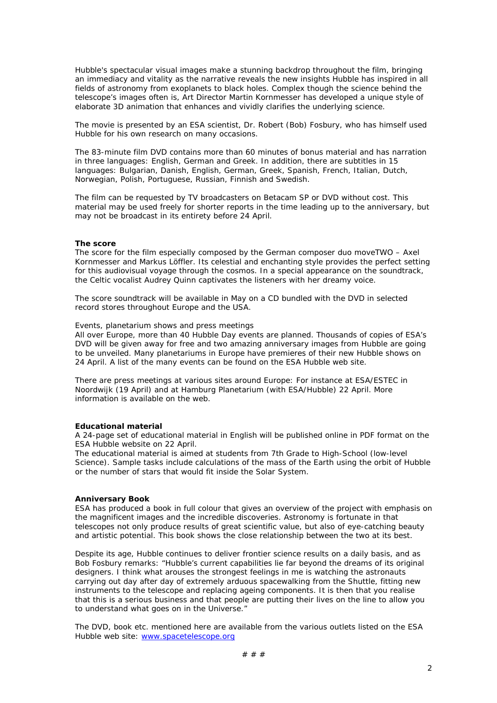Hubble's spectacular visual images make a stunning backdrop throughout the film, bringing an immediacy and vitality as the narrative reveals the new insights Hubble has inspired in all fields of astronomy from exoplanets to black holes. Complex though the science behind the telescope's images often is, Art Director Martin Kornmesser has developed a unique style of elaborate 3D animation that enhances and vividly clarifies the underlying science.

The movie is presented by an ESA scientist, Dr. Robert (Bob) Fosbury, who has himself used Hubble for his own research on many occasions.

The 83-minute film DVD contains more than 60 minutes of bonus material and has narration in three languages: English, German and Greek. In addition, there are subtitles in 15 languages: Bulgarian, Danish, English, German, Greek, Spanish, French, Italian, Dutch, Norwegian, Polish, Portuguese, Russian, Finnish and Swedish.

The film can be requested by TV broadcasters on Betacam SP or DVD without cost. This material may be used freely for shorter reports in the time leading up to the anniversary, but may not be broadcast in its entirety before 24 April.

#### **The score**

The score for the film especially composed by the German composer duo moveTWO – Axel Kornmesser and Markus Löffler. Its celestial and enchanting style provides the perfect setting for this audiovisual voyage through the cosmos. In a special appearance on the soundtrack, the Celtic vocalist Audrey Quinn captivates the listeners with her dreamy voice.

The score soundtrack will be available in May on a CD bundled with the DVD in selected record stores throughout Europe and the USA.

Events, planetarium shows and press meetings

All over Europe, more than 40 Hubble Day events are planned. Thousands of copies of ESA's DVD will be given away for free and two amazing anniversary images from Hubble are going to be unveiled. Many planetariums in Europe have premieres of their new Hubble shows on 24 April. A list of the many events can be found on the ESA Hubble web site.

There are press meetings at various sites around Europe: For instance at ESA/ESTEC in Noordwijk (19 April) and at Hamburg Planetarium (with ESA/Hubble) 22 April. More information is available on the web.

### **Educational material**

A 24-page set of educational material in English will be published online in PDF format on the ESA Hubble website on 22 April.

The educational material is aimed at students from 7th Grade to High-School (low-level Science). Sample tasks include calculations of the mass of the Earth using the orbit of Hubble or the number of stars that would fit inside the Solar System.

#### **Anniversary Book**

ESA has produced a book in full colour that gives an overview of the project with emphasis on the magnificent images and the incredible discoveries. Astronomy is fortunate in that telescopes not only produce results of great scientific value, but also of eye-catching beauty and artistic potential. This book shows the close relationship between the two at its best.

Despite its age, Hubble continues to deliver frontier science results on a daily basis, and as Bob Fosbury remarks: "Hubble's current capabilities lie far beyond the dreams of its original designers. I think what arouses the strongest feelings in me is watching the astronauts carrying out day after day of extremely arduous spacewalking from the Shuttle, fitting new instruments to the telescope and replacing ageing components. It is then that you realise that this is a serious business and that people are putting their lives on the line to allow you to understand what goes on in the Universe."

The DVD, book etc. mentioned here are available from the various outlets listed on the ESA Hubble web site: www.spacetelescope.org